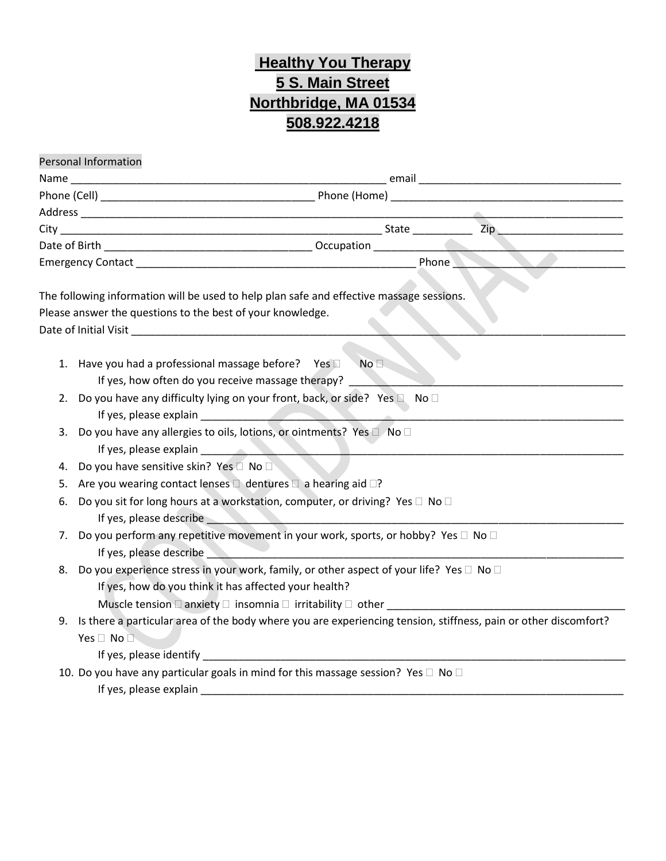## **Healthy You Therapy 5 S. Main Street Northbridge, MA 01534 508.922.4218**

|    | Personal Information                                                                                            |  |  |
|----|-----------------------------------------------------------------------------------------------------------------|--|--|
|    |                                                                                                                 |  |  |
|    |                                                                                                                 |  |  |
|    |                                                                                                                 |  |  |
|    |                                                                                                                 |  |  |
|    |                                                                                                                 |  |  |
|    |                                                                                                                 |  |  |
|    |                                                                                                                 |  |  |
|    | The following information will be used to help plan safe and effective massage sessions.                        |  |  |
|    | Please answer the questions to the best of your knowledge.                                                      |  |  |
|    |                                                                                                                 |  |  |
|    |                                                                                                                 |  |  |
|    | 1. Have you had a professional massage before? Yes<br>No <sub>2</sub>                                           |  |  |
|    | If yes, how often do you receive massage therapy?                                                               |  |  |
| 2. | Do you have any difficulty lying on your front, back, or side? Yes □ No □                                       |  |  |
|    |                                                                                                                 |  |  |
| 3. | Do you have any allergies to oils, lotions, or ointments? Yes $\Box$ No $\Box$                                  |  |  |
|    | If yes, please explain                                                                                          |  |  |
| 4. | Do you have sensitive skin? Yes <sup>1</sup> No                                                                 |  |  |
| 5. | Are you wearing contact lenses $\Box$ dentures $\Box$ a hearing aid $\Box$ ?                                    |  |  |
| 6. | Do you sit for long hours at a workstation, computer, or driving? Yes □ No □                                    |  |  |
|    |                                                                                                                 |  |  |
| 7. | Do you perform any repetitive movement in your work, sports, or hobby? Yes $\square$ No $\square$               |  |  |
|    | If yes, please describe                                                                                         |  |  |
| 8. | Do you experience stress in your work, family, or other aspect of your life? Yes □ No □                         |  |  |
|    | If yes, how do you think it has affected your health?                                                           |  |  |
|    | Muscle tension $\Box$ anxiety $\Box$ insomnia $\Box$ irritability $\Box$ other                                  |  |  |
| 9. | Is there a particular area of the body where you are experiencing tension, stiffness, pain or other discomfort? |  |  |
|    | Yes $\Box$ No $\Box$                                                                                            |  |  |
|    |                                                                                                                 |  |  |
|    | 10. Do you have any particular goals in mind for this massage session? Yes $\Box$ No $\Box$                     |  |  |
|    | If yes, please explain                                                                                          |  |  |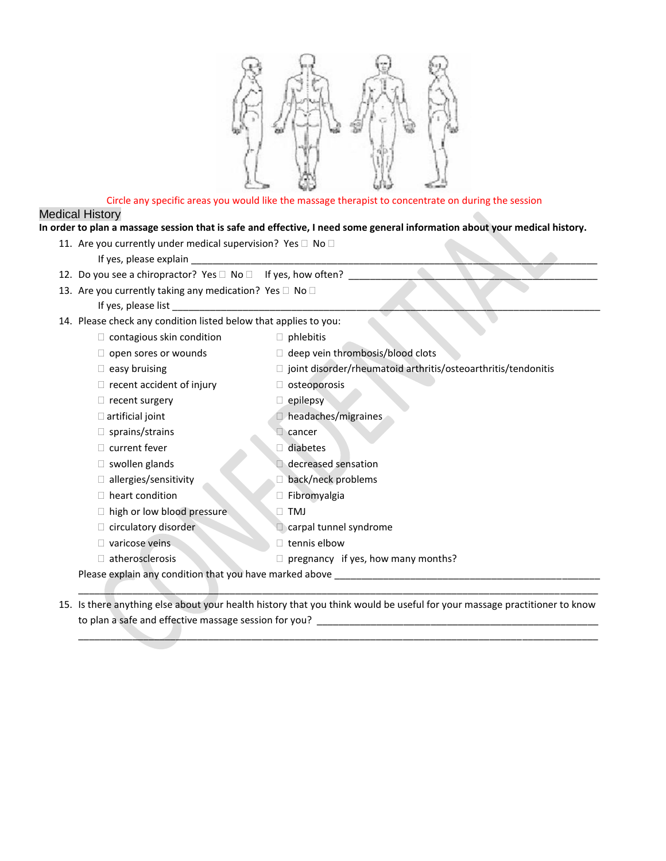

## Circle any specific areas you would like the massage therapist to concentrate on during the session

## Medical History

## **In order to plan a massage session that is safe and effective, I need some general information about your medical history.**

| 12. Do you see a chiropractor? Yes □ No □ If yes, how often? _   |                                                                 |  |  |  |
|------------------------------------------------------------------|-----------------------------------------------------------------|--|--|--|
| 13. Are you currently taking any medication? Yes □ No □          |                                                                 |  |  |  |
| If yes, please list                                              |                                                                 |  |  |  |
| 14. Please check any condition listed below that applies to you: |                                                                 |  |  |  |
| $\Box$ contagious skin condition                                 | $\Box$ phlebitis                                                |  |  |  |
| $\Box$ open sores or wounds                                      | $\Box$ deep vein thrombosis/blood clots                         |  |  |  |
| $\Box$ easy bruising                                             | □ joint disorder/rheumatoid arthritis/osteoarthritis/tendonitis |  |  |  |
| $\Box$ recent accident of injury                                 | $\Box$ osteoporosis                                             |  |  |  |
| $\Box$ recent surgery                                            | $\Box$ epilepsy                                                 |  |  |  |
| $\Box$ artificial joint                                          | headaches/migraines                                             |  |  |  |
| $\Box$ sprains/strains                                           | $\Box$ cancer                                                   |  |  |  |
| $\Box$ current fever                                             | diabetes                                                        |  |  |  |
| $\Box$ swollen glands                                            | decreased sensation                                             |  |  |  |
| $\Box$ allergies/sensitivity                                     | back/neck problems                                              |  |  |  |
| $\Box$ heart condition                                           | □ Fibromyalgia                                                  |  |  |  |
| □ high or low blood pressure                                     | TMJ                                                             |  |  |  |
| $\Box$ circulatory disorder                                      | carpal tunnel syndrome                                          |  |  |  |
| $\Box$ varicose veins                                            | $\Box$ tennis elbow                                             |  |  |  |
| $\Box$ atherosclerosis                                           | $\Box$ pregnancy if yes, how many months?                       |  |  |  |

15. Is there anything else about your health history that you think would be useful for your massage practitioner to know to plan a safe and effective massage session for you? \_\_\_\_\_\_\_\_\_\_\_\_\_\_\_\_\_\_\_\_\_\_\_\_\_\_\_\_\_\_\_\_\_\_\_\_\_\_\_\_\_\_\_\_\_\_\_\_\_\_\_\_

 $\_\_\_\_\_\_\_$